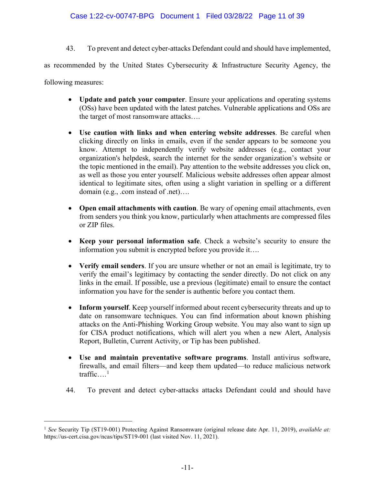43. To prevent and detect cyber-attacks Defendant could and should have implemented,

as recommended by the United States Cybersecurity & Infrastructure Security Agency, the

following measures:

- **Update and patch your computer**. Ensure your applications and operating systems (OSs) have been updated with the latest patches. Vulnerable applications and OSs are the target of most ransomware attacks….
- **Use caution with links and when entering website addresses**. Be careful when clicking directly on links in emails, even if the sender appears to be someone you know. Attempt to independently verify website addresses (e.g., contact your organization's helpdesk, search the internet for the sender organization's website or the topic mentioned in the email). Pay attention to the website addresses you click on, as well as those you enter yourself. Malicious website addresses often appear almost identical to legitimate sites, often using a slight variation in spelling or a different domain (e.g., .com instead of .net)….
- **Open email attachments with caution**. Be wary of opening email attachments, even from senders you think you know, particularly when attachments are compressed files or ZIP files.
- **Keep your personal information safe**. Check a website's security to ensure the information you submit is encrypted before you provide it….
- **Verify email senders**. If you are unsure whether or not an email is legitimate, try to verify the email's legitimacy by contacting the sender directly. Do not click on any links in the email. If possible, use a previous (legitimate) email to ensure the contact information you have for the sender is authentic before you contact them.
- **Inform yourself**. Keep yourself informed about recent cybersecurity threats and up to date on ransomware techniques. You can find information about known phishing attacks on the Anti-Phishing Working Group website. You may also want to sign up for CISA product notifications, which will alert you when a new Alert, Analysis Report, Bulletin, Current Activity, or Tip has been published.
- **Use and maintain preventative software programs**. Install antivirus software, firewalls, and email filters—and keep them updated—to reduce malicious network traffic... $^1$  $^1$
- 44. To prevent and detect cyber-attacks attacks Defendant could and should have

<span id="page-10-0"></span><sup>&</sup>lt;sup>1</sup> See Security Tip (ST19-001) Protecting Against Ransomware (original release date Apr. 11, 2019), *available at:* https://us-cert.cisa.gov/ncas/tips/ST19-001 (last visited Nov. 11, 2021).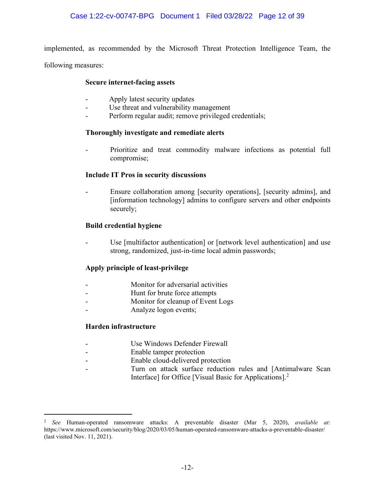implemented, as recommended by the Microsoft Threat Protection Intelligence Team, the

following measures:

### **Secure internet-facing assets**

- Apply latest security updates
- Use threat and vulnerability management
- Perform regular audit; remove privileged credentials;

## **Thoroughly investigate and remediate alerts**

Prioritize and treat commodity malware infections as potential full compromise;

## **Include IT Pros in security discussions**

Ensure collaboration among [security operations], [security admins], and [information technology] admins to configure servers and other endpoints securely;

## **Build credential hygiene**

Use [multifactor authentication] or [network level authentication] and use strong, randomized, just-in-time local admin passwords;

# **Apply principle of least-privilege**

- Monitor for adversarial activities
- Hunt for brute force attempts
- Monitor for cleanup of Event Logs
- Analyze logon events;

### **Harden infrastructure**

- Use Windows Defender Firewall
- Enable tamper protection
- Enable cloud-delivered protection
- Turn on attack surface reduction rules and [Antimalware Scan Interface] for Office [Visual Basic for Applications].<sup>[2](#page-11-0)</sup>

<span id="page-11-0"></span><sup>2</sup> *See* Human-operated ransomware attacks: A preventable disaster (Mar 5, 2020), *available at:*  https://www.microsoft.com/security/blog/2020/03/05/human-operated-ransomware-attacks-a-preventable-disaster/ (last visited Nov. 11, 2021).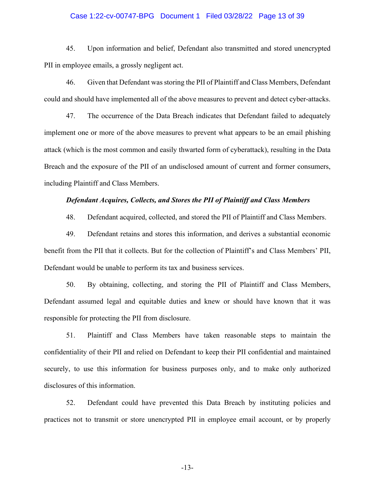#### Case 1:22-cv-00747-BPG Document 1 Filed 03/28/22 Page 13 of 39

45. Upon information and belief, Defendant also transmitted and stored unencrypted PII in employee emails, a grossly negligent act.

46. Given that Defendant wasstoring the PII of Plaintiff and Class Members, Defendant could and should have implemented all of the above measures to prevent and detect cyber-attacks.

47. The occurrence of the Data Breach indicates that Defendant failed to adequately implement one or more of the above measures to prevent what appears to be an email phishing attack (which is the most common and easily thwarted form of cyberattack), resulting in the Data Breach and the exposure of the PII of an undisclosed amount of current and former consumers, including Plaintiff and Class Members.

### *Defendant Acquires, Collects, and Stores the PII of Plaintiff and Class Members*

48. Defendant acquired, collected, and stored the PII of Plaintiff and Class Members.

49. Defendant retains and stores this information, and derives a substantial economic benefit from the PII that it collects. But for the collection of Plaintiff's and Class Members' PII, Defendant would be unable to perform its tax and business services.

50. By obtaining, collecting, and storing the PII of Plaintiff and Class Members, Defendant assumed legal and equitable duties and knew or should have known that it was responsible for protecting the PII from disclosure.

51. Plaintiff and Class Members have taken reasonable steps to maintain the confidentiality of their PII and relied on Defendant to keep their PII confidential and maintained securely, to use this information for business purposes only, and to make only authorized disclosures of this information.

52. Defendant could have prevented this Data Breach by instituting policies and practices not to transmit or store unencrypted PII in employee email account, or by properly

-13-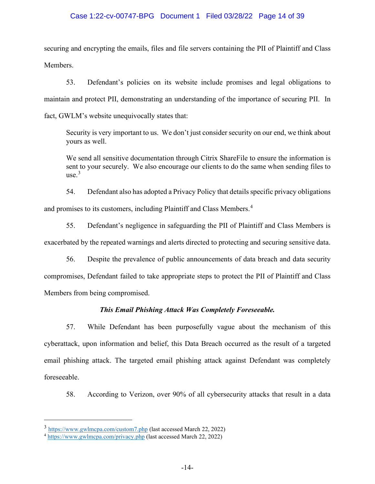## Case 1:22-cv-00747-BPG Document 1 Filed 03/28/22 Page 14 of 39

securing and encrypting the emails, files and file servers containing the PII of Plaintiff and Class Members.

53. Defendant's policies on its website include promises and legal obligations to maintain and protect PII, demonstrating an understanding of the importance of securing PII. In fact, GWLM's website unequivocally states that:

Security is very important to us. We don't just consider security on our end, we think about yours as well.

We send all sensitive documentation through Citrix ShareFile to ensure the information is sent to your securely. We also encourage our clients to do the same when sending files to  $use.<sup>3</sup>$  $use.<sup>3</sup>$  $use.<sup>3</sup>$ 

54. Defendant also has adopted a Privacy Policy that details specific privacy obligations and promises to its customers, including Plaintiff and Class Members.[4](#page-13-1)

55. Defendant's negligence in safeguarding the PII of Plaintiff and Class Members is exacerbated by the repeated warnings and alerts directed to protecting and securing sensitive data.

56. Despite the prevalence of public announcements of data breach and data security compromises, Defendant failed to take appropriate steps to protect the PII of Plaintiff and Class Members from being compromised.

# *This Email Phishing Attack Was Completely Foreseeable.*

57. While Defendant has been purposefully vague about the mechanism of this cyberattack, upon information and belief, this Data Breach occurred as the result of a targeted email phishing attack. The targeted email phishing attack against Defendant was completely foreseeable.

58. According to Verizon, over 90% of all cybersecurity attacks that result in a data

<span id="page-13-0"></span><sup>3</sup> <https://www.gwlmcpa.com/custom7.php> (last accessed March 22, 2022)

<span id="page-13-1"></span><sup>4</sup> <https://www.gwlmcpa.com/privacy.php> (last accessed March 22, 2022)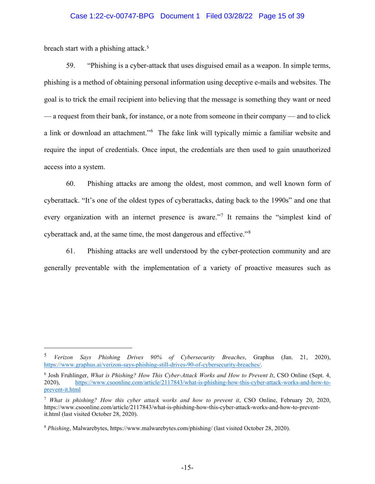### Case 1:22-cv-00747-BPG Document 1 Filed 03/28/22 Page 15 of 39

breach start with a phishing attack.<sup>[5](#page-14-0)</sup>

59. "Phishing is a cyber-attack that uses disguised email as a weapon. In simple terms, phishing is a method of obtaining personal information using deceptive e-mails and websites. The goal is to trick the email recipient into believing that the message is something they want or need — a request from their bank, for instance, or a note from someone in their company — and to click a link or download an attachment."<sup>[6](#page-14-1)</sup> The fake link will typically mimic a familiar website and require the input of credentials. Once input, the credentials are then used to gain unauthorized access into a system.

60. Phishing attacks are among the oldest, most common, and well known form of cyberattack. "It's one of the oldest types of cyberattacks, dating back to the 1990s" and one that every organization with an internet presence is aware."<sup>[7](#page-14-2)</sup> It remains the "simplest kind of cyberattack and, at the same time, the most dangerous and effective."[8](#page-14-3)

61. Phishing attacks are well understood by the cyber-protection community and are generally preventable with the implementation of a variety of proactive measures such as

<span id="page-14-0"></span><sup>5</sup> *Verizon Says Phishing Drives 90% of Cybersecurity Breaches*, Graphus (Jan. 21, 2020), [https://www.graphus.ai/verizon-says-phishing-still-drives-90-of-cybersecurity-breaches/.](https://www.graphus.ai/verizon-says-phishing-still-drives-90-of-cybersecurity-breaches/)

<span id="page-14-1"></span><sup>6</sup> Josh Fruhlinger, *What is Phishing? How This Cyber-Attack Works and How to Prevent It*, CSO Online (Sept. 4, 2020), [https://www.csoonline.com/article/2117843/what-is-phishing-how-this-cyber-attack-works-and-how-to](https://www.csoonline.com/article/2117843/what-is-phishing-how-this-cyber-attack-works-and-how-to-prevent-it.html)[prevent-it.html](https://www.csoonline.com/article/2117843/what-is-phishing-how-this-cyber-attack-works-and-how-to-prevent-it.html) 

<span id="page-14-2"></span><sup>7</sup> *What is phishing? How this cyber attack works and how to prevent it*, CSO Online, February 20, 2020, https://www.csoonline.com/article/2117843/what-is-phishing-how-this-cyber-attack-works-and-how-to-preventit.html (last visited October 28, 2020).

<span id="page-14-3"></span><sup>8</sup> *Phishing*, Malwarebytes, https://www.malwarebytes.com/phishing/ (last visited October 28, 2020).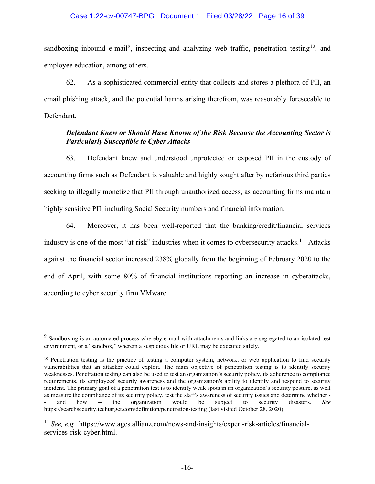### Case 1:22-cv-00747-BPG Document 1 Filed 03/28/22 Page 16 of 39

sandboxing inbound e-mail<sup>[9](#page-15-0)</sup>, inspecting and analyzing web traffic, penetration testing<sup>10</sup>, and employee education, among others.

62. As a sophisticated commercial entity that collects and stores a plethora of PII, an email phishing attack, and the potential harms arising therefrom, was reasonably foreseeable to Defendant.

## *Defendant Knew or Should Have Known of the Risk Because the Accounting Sector is Particularly Susceptible to Cyber Attacks*

63. Defendant knew and understood unprotected or exposed PII in the custody of accounting firms such as Defendant is valuable and highly sought after by nefarious third parties seeking to illegally monetize that PII through unauthorized access, as accounting firms maintain highly sensitive PII, including Social Security numbers and financial information.

64. Moreover, it has been well-reported that the banking/credit/financial services industry is one of the most "at-risk" industries when it comes to cybersecurity attacks.<sup>[11](#page-15-2)</sup> Attacks against the financial sector increased 238% globally from the beginning of February 2020 to the end of April, with some 80% of financial institutions reporting an increase in cyberattacks, according to cyber security firm VMware.

<span id="page-15-0"></span> $9\text{ Sandboxing}$  is an automated process whereby e-mail with attachments and links are segregated to an isolated test environment, or a "sandbox," wherein a suspicious file or URL may be executed safely.

<span id="page-15-1"></span><sup>&</sup>lt;sup>10</sup> Penetration testing is the practice of testing a computer system, network, or web application to find security vulnerabilities that an attacker could exploit. The main objective of penetration testing is to identify security weaknesses. Penetration testing can also be used to test an organization's security policy, its adherence to compliance requirements, its employees' security awareness and the organization's ability to identify and respond to security incident. The primary goal of a penetration test is to identify weak spots in an organization's security posture, as well as measure the compliance of its security policy, test the staff's awareness of security issues and determine whether -<br>and how -- the organization would be subject to security disasters. See - and how -- the organization would be subject to security disasters. *See* https://searchsecurity.techtarget.com/definition/penetration-testing (last visited October 28, 2020).

<span id="page-15-2"></span><sup>11</sup> *See, e.g.,* https://www.agcs.allianz.com/news-and-insights/expert-risk-articles/financialservices-risk-cyber.html.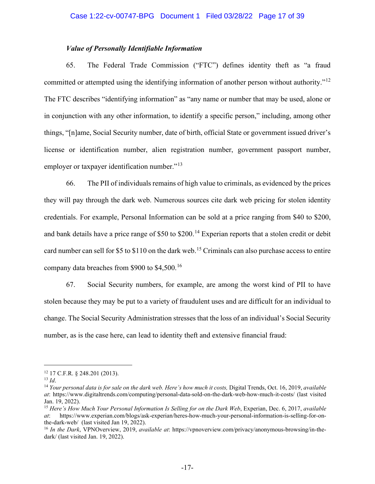## *Value of Personally Identifiable Information*

65. The Federal Trade Commission ("FTC") defines identity theft as "a fraud committed or attempted using the identifying information of another person without authority."[12](#page-16-0) The FTC describes "identifying information" as "any name or number that may be used, alone or in conjunction with any other information, to identify a specific person," including, among other things, "[n]ame, Social Security number, date of birth, official State or government issued driver's license or identification number, alien registration number, government passport number, employer or taxpayer identification number."<sup>[13](#page-16-1)</sup>

66. The PII of individuals remains of high value to criminals, as evidenced by the prices they will pay through the dark web. Numerous sources cite dark web pricing for stolen identity credentials. For example, Personal Information can be sold at a price ranging from \$40 to \$200, and bank details have a price range of \$50 to  $$200$ .<sup>[14](#page-16-2)</sup> Experian reports that a stolen credit or debit card number can sell for \$5 to \$110 on the dark web.<sup>[15](#page-16-3)</sup> Criminals can also purchase access to entire company data breaches from \$900 to \$4,500.[16](#page-16-4)

67. Social Security numbers, for example, are among the worst kind of PII to have stolen because they may be put to a variety of fraudulent uses and are difficult for an individual to change. The Social Security Administration stresses that the loss of an individual's Social Security number, as is the case here, can lead to identity theft and extensive financial fraud:

<span id="page-16-0"></span> $^{12}$  17 C.F.R. § 248.201 (2013).<br> $^{13}$  *Id.* 

<span id="page-16-2"></span><span id="page-16-1"></span><sup>&</sup>lt;sup>14</sup> *Your personal data is for sale on the dark web. Here's how much it costs, Digital Trends, Oct. 16, 2019, <i>available at*: https://www.digitaltrends.com/computing/personal-data-sold-on-the-dark-web-how-much-it-costs/ (last visited Jan. 19, 2022).

<span id="page-16-3"></span><sup>&</sup>lt;sup>15</sup> Here's How Much Your Personal Information Is Selling for on the Dark Web, Experian, Dec. 6, 2017, *available at*: https://www.experian.com/blogs/ask-experian/heres-how-much-your-personal-information-is-selling-for-onthe-dark-web/ (last visited Jan 19, 2022).

<span id="page-16-4"></span><sup>16</sup> *In the Dark*, VPNOverview, 2019, *available at*: https://vpnoverview.com/privacy/anonymous-browsing/in-thedark/ (last visited Jan. 19, 2022).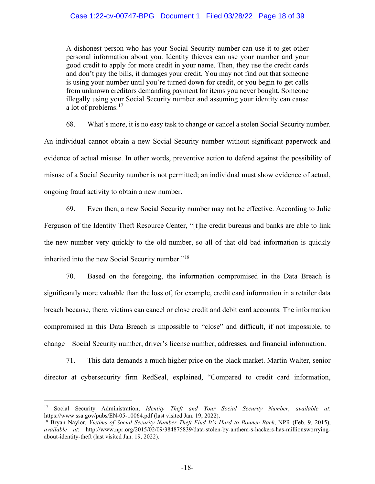### Case 1:22-cv-00747-BPG Document 1 Filed 03/28/22 Page 18 of 39

A dishonest person who has your Social Security number can use it to get other personal information about you. Identity thieves can use your number and your good credit to apply for more credit in your name. Then, they use the credit cards and don't pay the bills, it damages your credit. You may not find out that someone is using your number until you're turned down for credit, or you begin to get calls from unknown creditors demanding payment for items you never bought. Someone illegally using your Social Security number and assuming your identity can cause a lot of problems.<sup>[17](#page-17-0)</sup>

68. What's more, it is no easy task to change or cancel a stolen Social Security number. An individual cannot obtain a new Social Security number without significant paperwork and evidence of actual misuse. In other words, preventive action to defend against the possibility of misuse of a Social Security number is not permitted; an individual must show evidence of actual, ongoing fraud activity to obtain a new number.

69. Even then, a new Social Security number may not be effective. According to Julie Ferguson of the Identity Theft Resource Center, "[t]he credit bureaus and banks are able to link the new number very quickly to the old number, so all of that old bad information is quickly inherited into the new Social Security number."<sup>[18](#page-17-1)</sup>

70. Based on the foregoing, the information compromised in the Data Breach is significantly more valuable than the loss of, for example, credit card information in a retailer data breach because, there, victims can cancel or close credit and debit card accounts. The information compromised in this Data Breach is impossible to "close" and difficult, if not impossible, to change—Social Security number, driver's license number, addresses, and financial information.

71. This data demands a much higher price on the black market. Martin Walter, senior director at cybersecurity firm RedSeal, explained, "Compared to credit card information,

<span id="page-17-0"></span><sup>17</sup> Social Security Administration, *Identity Theft and Your Social Security Number*, *available at*: https://www.ssa.gov/pubs/EN-05-10064.pdf (last visited Jan. 19, 2022).

<span id="page-17-1"></span><sup>18</sup> Bryan Naylor, *Victims of Social Security Number Theft Find It's Hard to Bounce Back*, NPR (Feb. 9, 2015), *available at*: http://www.npr.org/2015/02/09/384875839/data-stolen-by-anthem-s-hackers-has-millionsworryingabout-identity-theft (last visited Jan. 19, 2022).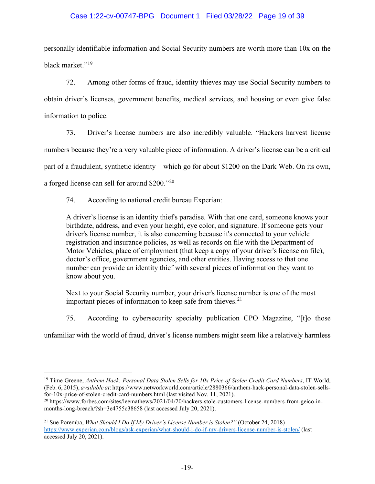# Case 1:22-cv-00747-BPG Document 1 Filed 03/28/22 Page 19 of 39

personally identifiable information and Social Security numbers are worth more than 10x on the black market."<sup>[19](#page-18-0)</sup>

72. Among other forms of fraud, identity thieves may use Social Security numbers to obtain driver's licenses, government benefits, medical services, and housing or even give false information to police.

73. Driver's license numbers are also incredibly valuable. "Hackers harvest license numbers because they're a very valuable piece of information. A driver's license can be a critical part of a fraudulent, synthetic identity – which go for about \$1200 on the Dark Web. On its own, a forged license can sell for around \$200."[20](#page-18-1)

74. According to national credit bureau Experian:

A driver's license is an identity thief's paradise. With that one card, someone knows your birthdate, address, and even your height, eye color, and signature. If someone gets your driver's license number, it is also concerning because it's connected to your vehicle registration and insurance policies, as well as records on file with the Department of Motor Vehicles, place of employment (that keep a copy of your driver's license on file), doctor's office, government agencies, and other entities. Having access to that one number can provide an identity thief with several pieces of information they want to know about you.

Next to your Social Security number, your driver's license number is one of the most important pieces of information to keep safe from thieves. $2<sup>1</sup>$ 

75. According to cybersecurity specialty publication CPO Magazine, "[t]o those

unfamiliar with the world of fraud, driver's license numbers might seem like a relatively harmless

<span id="page-18-0"></span><sup>19</sup> Time Greene, *Anthem Hack: Personal Data Stolen Sells for 10x Price of Stolen Credit Card Numbers*, IT World, (Feb. 6, 2015), *available at*: https://www.networkworld.com/article/2880366/anthem-hack-personal-data-stolen-sellsfor-10x-price-of-stolen-credit-card-numbers.html (last visited Nov. 11, 2021).

<span id="page-18-1"></span><sup>20</sup> https://www.forbes.com/sites/leemathews/2021/04/20/hackers-stole-customers-license-numbers-from-geico-inmonths-long-breach/?sh=3e4755c38658 (last accessed July 20, 2021).

<span id="page-18-2"></span><sup>21</sup> Sue Poremba, *What Should I Do If My Driver's License Number is Stolen?"* (October 24, 2018) <https://www.experian.com/blogs/ask-experian/what-should-i-do-if-my-drivers-license-number-is-stolen/> (last accessed July 20, 2021).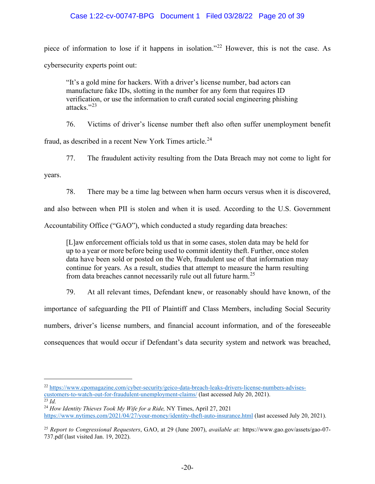# Case 1:22-cv-00747-BPG Document 1 Filed 03/28/22 Page 20 of 39

piece of information to lose if it happens in isolation."[22](#page-19-0) However, this is not the case. As cybersecurity experts point out:

"It's a gold mine for hackers. With a driver's license number, bad actors can manufacture fake IDs, slotting in the number for any form that requires ID verification, or use the information to craft curated social engineering phishing attacks."[23](#page-19-1)

76. Victims of driver's license number theft also often suffer unemployment benefit

fraud, as described in a recent New York Times article.<sup>[24](#page-19-2)</sup>

77. The fraudulent activity resulting from the Data Breach may not come to light for

years.

78. There may be a time lag between when harm occurs versus when it is discovered,

and also between when PII is stolen and when it is used. According to the U.S. Government Accountability Office ("GAO"), which conducted a study regarding data breaches:

[L]aw enforcement officials told us that in some cases, stolen data may be held for up to a year or more before being used to commit identity theft. Further, once stolen data have been sold or posted on the Web, fraudulent use of that information may continue for years. As a result, studies that attempt to measure the harm resulting from data breaches cannot necessarily rule out all future harm.[25](#page-19-3)

79. At all relevant times, Defendant knew, or reasonably should have known, of the

importance of safeguarding the PII of Plaintiff and Class Members, including Social Security numbers, driver's license numbers, and financial account information, and of the foreseeable consequences that would occur if Defendant's data security system and network was breached,

<span id="page-19-0"></span><sup>22</sup> [https://www.cpomagazine.com/cyber-security/geico-data-breach-leaks-drivers-license-numbers-advises](https://www.cpomagazine.com/cyber-security/geico-data-breach-leaks-drivers-license-numbers-advises-customers-to-watch-out-for-fraudulent-unemployment-claims/)[customers-to-watch-out-for-fraudulent-unemployment-claims/](https://www.cpomagazine.com/cyber-security/geico-data-breach-leaks-drivers-license-numbers-advises-customers-to-watch-out-for-fraudulent-unemployment-claims/) (last accessed July 20, 2021).<br>
<sup>23</sup> *Id* 

<span id="page-19-2"></span><span id="page-19-1"></span><sup>&</sup>lt;sup>24</sup> *How Identity Thieves Took My Wife for a Ride, NY Times, April 27, 2021* <https://www.nytimes.com/2021/04/27/your-money/identity-theft-auto-insurance.html> (last accessed July 20, 2021).

<span id="page-19-3"></span><sup>25</sup> *Report to Congressional Requesters*, GAO, at 29 (June 2007), *available at:* https://www.gao.gov/assets/gao-07- 737.pdf (last visited Jan. 19, 2022).